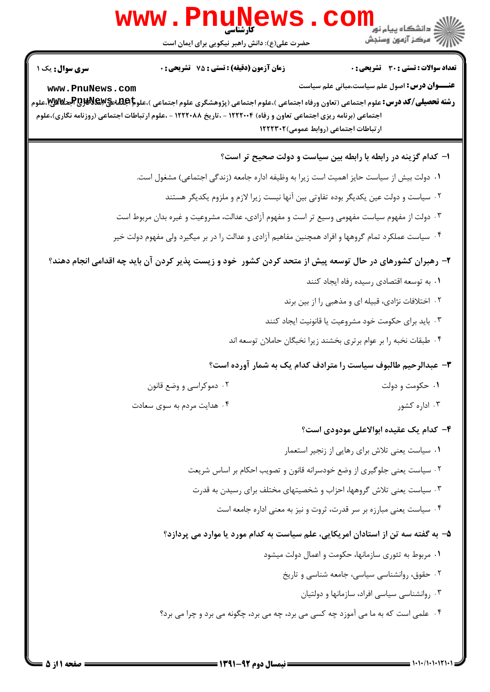## $\overline{\textsf{WS}}$  .  $\textsf{com}_{\textsf{split},\textsf{in}}$ www.PnuN الآرآ مركز آزمون وسنجش حضرت علی(ع): دانش راهبر نیکویی برای ایمان است **تعداد سوالات : تستي : 30 - تشريحي : 0 زمان آزمون (دقیقه) : تستی : 75 ٪ تشریحی : 0 عنـــوان درس:** اصول علم سیاست،مبانی علم سیاست www.PnuNews.com **رشته تحصیلی/کد درس:**علوم اجتماعی (تعاون ورفاه اجتماعی )،علوم اجتماعی (پژوهشگری علوم اجتماعی )،علو**م Pطللهای Pطللهای Pطل**الای اجت اجتماعی (برنامه ریزی اجتماعی تعاون و رفاه) ۱۲۲۲۰۰۴ - ،تاریخ ۱۲۲۲۰۸۸ - ،علوم ارتباطات اجتماعی (روزنامه نگاری)،علوم ارتباطات اجتماعي (روابط عمومي)١٢٢٢٣٠٢ ۱– کدام گزینه در رابطه با رابطه بین سیاست و دولت صحیح تر است؟ ٠١ دولت بيش از سياست حايز اهميت است زيرا به وظيفه اداره جامعه (زندگي اجتماعي) مشغول است.

- ۲ . سیاست و دولت عین یکدیگر بوده تفاوتی بین آنها نیست زیرا لازم و ملزوم یکدیگر هستند
- ۰۳ دولت از مفهوم سیاست مفهومی وسیع تر است و مفهوم آزادی، عدالت، مشروعیت و غیره بدان مربوط است
- ۰۴ سیاست عملکرد تمام گروهها و افراد همچنین مفاهیم آزادی و عدالت را در بر میگیرد ولی مفهوم دولت خیر

۲- رهبران کشورهای در حال توسعه پیش از متحد کردن کشور خود و زیست پذیر کردن آن باید چه اقدامی انجام دهند؟

۰۴ هدایت مردم به سوی سعادت

- ۰۱ به توسعه اقتصادی رسیده رفاه ایجاد کنند
- ۰۲ اختلافات نژادی، قبیله ای و مذهبی را از بین برند
- ۰۳ باید برای حکومت خود مشروعیت یا قانونیت ایجاد کنند
- ۰۴ طبقات نخبه را بر عوام برتری بخشند زیرا نخبگان حاملان توسعه اند

## 4- عبدالرحيم طالبوف سياست را مترادف كدام يك به شمار آورده است؟

- ۰۲ دموکراسی و وضع قانون ۰۱ حکومت و دولت
	- ۰۳ اداره کشور

## ۴- کدام یک عقیده ابوالاعلی مودودی است؟

- ٠١ سياست يعنى تلاش براي رهايي از زنجير استعمار
- <sup>۲</sup>۰ سیاست یعنی جلوگیری از وضع خودسرانه قانون و تصویب احکام بر اساس شریعت
- ۰۳ سیاست یعنی تلاش گروهها، احزاب و شخصیتهای مختلف برای رسیدن به قدرت
	- ۰۴ سیاست یعنی مبارزه بر سر قدرت، ثروت و نیز به معنی اداره جامعه است

## ۵– به گفته سه تن از استادان امریکایی، علم سیاست به کدام مورد یا موارد می پردازد؟

- ۰۱ مربوط به تئوری سازمانها، حکومت و اعمال دولت میشود
	- ۰۲ حقوق، روانشناسی سیاسی، جامعه شناسی و تاریخ
		- ۰۳ روانشناسی سیاسی افراد، سازمانها و دولتیان
- ۰۴ علمي است كه به ما مي آموزد چه كسي مي برد، چه مي برد، چگونه مي برد و چرا مي برد؟

**سری سوال :** یک ۱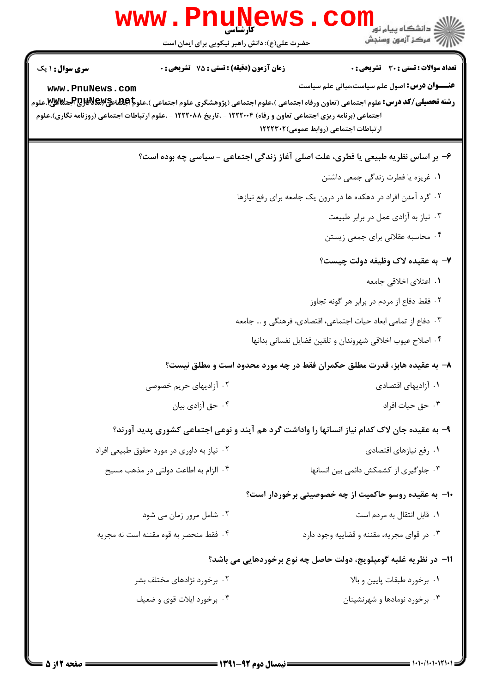|                        | حضرت علی(ع): دانش راهبر نیکویی برای ایمان است                                                                     | کی دانشگاه پیام نور<br>آن دانشگاه پیام نور<br>آبه مرکز آزمون وسنجش                                                                                                                                                                                   |
|------------------------|-------------------------------------------------------------------------------------------------------------------|------------------------------------------------------------------------------------------------------------------------------------------------------------------------------------------------------------------------------------------------------|
| <b>سری سوال : ۱ یک</b> | <b>زمان آزمون (دقیقه) : تستی : 75 تشریحی : 0</b>                                                                  | <b>تعداد سوالات : تستی : 30 ٪ تشریحی : 0</b>                                                                                                                                                                                                         |
| www.PnuNews.com        | اجتماعی (برنامه ریزی اجتماعی تعاون و رفاه) ۱۲۲۲۰۰۴ - ،تاریخ ۱۲۲۲۰۸۸ - ،علوم ارتباطات اجتماعی (روزنامه نگاری)،علوم | <b>عنـــوان درس:</b> اصول علم سیاست،مبانی علم سیاست<br><b>رشته تحصیلی/کد درس:</b> علوم اجتماعی (تعاون ورفاه اجتماعی )،علوم اجتماعی (پژوهشگری علوم اجتماعی )،علو <b>م اجلتلهحیPطلاق التارم است</b> بی ایملوم<br>ارتباطات اجتماعی (روابط عمومی)۱۲۲۲۳۰۲ |
|                        |                                                                                                                   | ۶- بر اساس نظریه طبیعی یا فطری، علت اصلی آغاز زندگی اجتماعی - سیاسی چه بوده است؟                                                                                                                                                                     |
|                        |                                                                                                                   | ٠١ غريزه يا فطرت زندگي جمعي داشتن                                                                                                                                                                                                                    |
|                        |                                                                                                                   | ۰۲ گرد آمدن افراد در دهکده ها در درون یک جامعه برای رفع نیازها                                                                                                                                                                                       |
|                        |                                                                                                                   | ۰۳ نیاز به آزادی عمل در برابر طبیعت                                                                                                                                                                                                                  |
|                        |                                                                                                                   | ۰۴ محاسبه عقلانی برای جمعی زیستن                                                                                                                                                                                                                     |
|                        |                                                                                                                   | ٧- به عقيده لاک وظيفه دولت چيست؟                                                                                                                                                                                                                     |
|                        |                                                                                                                   | ۰۱ اعتلای اخلاقی جامعه                                                                                                                                                                                                                               |
|                        |                                                                                                                   | ۰۲ فقط دفاع از مردم در برابر هر گونه تجاوز                                                                                                                                                                                                           |
|                        |                                                                                                                   | ۰۳ دفاع از تمامی ابعاد حیات اجتماعی، اقتصادی، فرهنگی و … جامعه                                                                                                                                                                                       |
|                        |                                                                                                                   | ۰۴ اصلاح عيوب اخلاقي شهروندان و تلقين فضايل نفساني بدانها                                                                                                                                                                                            |
|                        |                                                                                                                   | ۸– به عقیده هابز، قدرت مطلق حکمران فقط در چه مورد محدود است و مطلق نیست؟                                                                                                                                                                             |
|                        | ۰۲ آزادیهای حریم خصوصی                                                                                            | ۰۱ آزادیهای اقتصادی                                                                                                                                                                                                                                  |
|                        | ۰۴ حق آزادي بيان                                                                                                  | ۰۳ حق حیات افراد                                                                                                                                                                                                                                     |
|                        |                                                                                                                   | ۹- به عقیده جان لاک کدام نیاز انسانها را واداشت گرد هم آیند و نوعی اجتماعی کشوری پدید آورند؟                                                                                                                                                         |
|                        | ۰۲ نیاز به داوری در مورد حقوق طبیعی افراد                                                                         | ٠١. رفع نيازهاي اقتصادي                                                                                                                                                                                                                              |
|                        | ۰۴ الزام به اطاعت دولتی در مذهب مسیح                                                                              | ۰۳ جلوگیری از کشمکش دائمی بین انسانها                                                                                                                                                                                                                |
|                        |                                                                                                                   | ۱۰– به عقیده روسو حاکمیت از چه خصوصیتی برخوردار است؟                                                                                                                                                                                                 |
|                        | ۰۲ شامل مرور زمان می شود                                                                                          | ۰۱ قابل انتقال به مردم است                                                                                                                                                                                                                           |
|                        | ۰۴ فقط منحصر به قوه مقننه است نه مجريه                                                                            | ۰۳ در قوای مجریه، مقننه و قضاییه وجود دارد                                                                                                                                                                                                           |
|                        |                                                                                                                   | 11- در نظریه غلبه گومپلویچ، دولت حاصل چه نوع برخوردهایی می باشد؟                                                                                                                                                                                     |
|                        | ۰۲ برخورد نژادهای مختلف بشر                                                                                       | ٠١. برخورد طبقات پايين و بالا                                                                                                                                                                                                                        |
|                        | ۰۴ برخورد ايلات قوي و ضعيف                                                                                        | ۰۳ برخورد نومادها و شهرنشینان                                                                                                                                                                                                                        |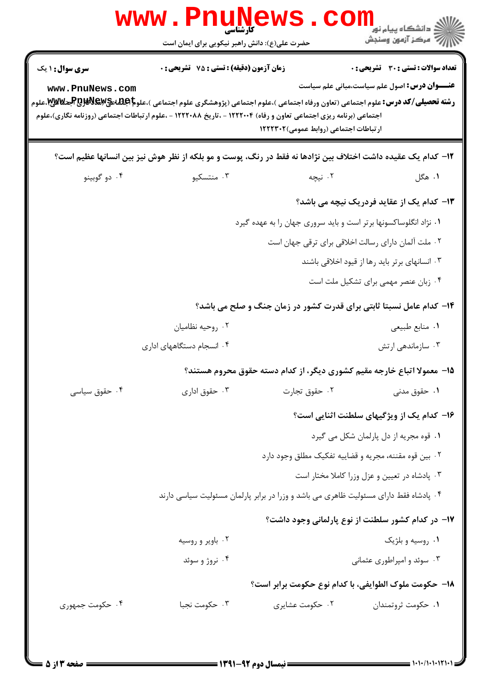| <b>عنـــوان درس:</b> اصول علم سیاست،مبانی علم سیاست<br>www.PnuNews.com<br><b>رشته تحصیلی/کد درس:</b> علوم اجتماعی (تعاون ورفاه اجتماعی )،علوم اجتماعی (پژوهشگری علوم اجتماعی )،علو <b>م اجلتله تج@DBV&amp;V&amp;پ</b> &بعلوم<br>اجتماعی (برنامه ریزی اجتماعی تعاون و رفاه) ۱۲۲۲۰۰۴ - ،تاریخ ۱۲۲۲۰۸۸ - ،علوم ارتباطات اجتماعی (روزنامه نگاری)،علوم<br>ارتباطات اجتماعی (روابط عمومی)۱۲۲۲۳۰۲<br>۱۲– کدام یک عقیده داشت اختلاف بین نژادها نه فقط در رنگ، پوست و مو بلکه از نظر هوش نیز بین انسانها عظیم است؟<br>۰۴ دو گوبينو<br>۰۳ منتسکیو<br>۰۲ نیچه<br>۰۱ هگل<br>۱۳– کدام یک از عقاید فردریک نیچه می باشد؟<br>۰۱ نژاد انگلوساکسونها برتر است و باید سروری جهان را به عهده گیرد<br>٠٢ ملت ألمان داراي رسالت اخلاقي براي ترقى جهان است<br>۰۳ انسانهای برتر باید رها از قیود اخلاقی باشند<br>۰۴ زبان عنصر مهمی برای تشکیل ملت است<br>۱۴- کدام عامل نسبتا ثابتی برای قدرت کشور در زمان جنگ و صلح می باشد؟<br>۰۲ روحيه نظاميان<br>۰۱ منابع طبیعی<br>۰۴ انسجام دستگاههای اداری<br>۱۵– معمولا اتباع خارجه مقیم کشوری دیگر، از کدام دسته حقوق محروم هستند؟<br>۰۴ حقوق سیاسی<br>۰۳ حقوق اداری<br>۰۲ حقوق تجارت<br>۰۱ حقوق مدنی<br>۱۶- کدام یک از ویژگیهای سلطنت اثنایی است؟<br>٠١ قوه مجريه از دل پارلمان شكل مي گيرد<br>۰۲ بین قوه مقننه، مجریه و قضاییه تفکیک مطلق وجود دارد<br>٠٣ پادشاه در تعيين و عزل وزرا كاملا مختار است<br>۰۴ پادشاه فقط دارای مسئولیت ظاهری می باشد و وزرا در برابر پارلمان مسئولیت سیاسی دارند<br>۱۷– در کدام کشور سلطنت از نوع پارلمانی وجود داشت؟<br>۰۲ باویر و روسیه<br>۰۱ روسیه و بلژیک<br>۰۴ نروژ و سوئد<br>۰۳ سوئد و امپراطوری عثمانی<br>۱۸– حکومت ملوک الطوایفی، با کدام نوع حکومت برابر است؟ | سری سوال: ۱ یک | زمان آزمون (دقیقه) : تستی : 75 تشریحی : 0 | تعداد سوالات : تستي : 30 ٪ تشريحي : 0 |
|----------------------------------------------------------------------------------------------------------------------------------------------------------------------------------------------------------------------------------------------------------------------------------------------------------------------------------------------------------------------------------------------------------------------------------------------------------------------------------------------------------------------------------------------------------------------------------------------------------------------------------------------------------------------------------------------------------------------------------------------------------------------------------------------------------------------------------------------------------------------------------------------------------------------------------------------------------------------------------------------------------------------------------------------------------------------------------------------------------------------------------------------------------------------------------------------------------------------------------------------------------------------------------------------------------------------------------------------------------------------------------------------------------------------------------------------------------------------------------------------------------------------------------------------------------------------------------------------------------------------|----------------|-------------------------------------------|---------------------------------------|
|                                                                                                                                                                                                                                                                                                                                                                                                                                                                                                                                                                                                                                                                                                                                                                                                                                                                                                                                                                                                                                                                                                                                                                                                                                                                                                                                                                                                                                                                                                                                                                                                                      |                |                                           |                                       |
|                                                                                                                                                                                                                                                                                                                                                                                                                                                                                                                                                                                                                                                                                                                                                                                                                                                                                                                                                                                                                                                                                                                                                                                                                                                                                                                                                                                                                                                                                                                                                                                                                      |                |                                           |                                       |
|                                                                                                                                                                                                                                                                                                                                                                                                                                                                                                                                                                                                                                                                                                                                                                                                                                                                                                                                                                                                                                                                                                                                                                                                                                                                                                                                                                                                                                                                                                                                                                                                                      |                |                                           |                                       |
|                                                                                                                                                                                                                                                                                                                                                                                                                                                                                                                                                                                                                                                                                                                                                                                                                                                                                                                                                                                                                                                                                                                                                                                                                                                                                                                                                                                                                                                                                                                                                                                                                      |                |                                           |                                       |
|                                                                                                                                                                                                                                                                                                                                                                                                                                                                                                                                                                                                                                                                                                                                                                                                                                                                                                                                                                                                                                                                                                                                                                                                                                                                                                                                                                                                                                                                                                                                                                                                                      |                |                                           |                                       |
|                                                                                                                                                                                                                                                                                                                                                                                                                                                                                                                                                                                                                                                                                                                                                                                                                                                                                                                                                                                                                                                                                                                                                                                                                                                                                                                                                                                                                                                                                                                                                                                                                      |                |                                           |                                       |
|                                                                                                                                                                                                                                                                                                                                                                                                                                                                                                                                                                                                                                                                                                                                                                                                                                                                                                                                                                                                                                                                                                                                                                                                                                                                                                                                                                                                                                                                                                                                                                                                                      |                |                                           |                                       |
|                                                                                                                                                                                                                                                                                                                                                                                                                                                                                                                                                                                                                                                                                                                                                                                                                                                                                                                                                                                                                                                                                                                                                                                                                                                                                                                                                                                                                                                                                                                                                                                                                      |                |                                           |                                       |
|                                                                                                                                                                                                                                                                                                                                                                                                                                                                                                                                                                                                                                                                                                                                                                                                                                                                                                                                                                                                                                                                                                                                                                                                                                                                                                                                                                                                                                                                                                                                                                                                                      |                |                                           |                                       |
|                                                                                                                                                                                                                                                                                                                                                                                                                                                                                                                                                                                                                                                                                                                                                                                                                                                                                                                                                                                                                                                                                                                                                                                                                                                                                                                                                                                                                                                                                                                                                                                                                      |                |                                           |                                       |
|                                                                                                                                                                                                                                                                                                                                                                                                                                                                                                                                                                                                                                                                                                                                                                                                                                                                                                                                                                                                                                                                                                                                                                                                                                                                                                                                                                                                                                                                                                                                                                                                                      |                |                                           | ۰۳ سازماندهی ارتش                     |
|                                                                                                                                                                                                                                                                                                                                                                                                                                                                                                                                                                                                                                                                                                                                                                                                                                                                                                                                                                                                                                                                                                                                                                                                                                                                                                                                                                                                                                                                                                                                                                                                                      |                |                                           |                                       |
|                                                                                                                                                                                                                                                                                                                                                                                                                                                                                                                                                                                                                                                                                                                                                                                                                                                                                                                                                                                                                                                                                                                                                                                                                                                                                                                                                                                                                                                                                                                                                                                                                      |                |                                           |                                       |
|                                                                                                                                                                                                                                                                                                                                                                                                                                                                                                                                                                                                                                                                                                                                                                                                                                                                                                                                                                                                                                                                                                                                                                                                                                                                                                                                                                                                                                                                                                                                                                                                                      |                |                                           |                                       |
|                                                                                                                                                                                                                                                                                                                                                                                                                                                                                                                                                                                                                                                                                                                                                                                                                                                                                                                                                                                                                                                                                                                                                                                                                                                                                                                                                                                                                                                                                                                                                                                                                      |                |                                           |                                       |
|                                                                                                                                                                                                                                                                                                                                                                                                                                                                                                                                                                                                                                                                                                                                                                                                                                                                                                                                                                                                                                                                                                                                                                                                                                                                                                                                                                                                                                                                                                                                                                                                                      |                |                                           |                                       |
|                                                                                                                                                                                                                                                                                                                                                                                                                                                                                                                                                                                                                                                                                                                                                                                                                                                                                                                                                                                                                                                                                                                                                                                                                                                                                                                                                                                                                                                                                                                                                                                                                      |                |                                           |                                       |
|                                                                                                                                                                                                                                                                                                                                                                                                                                                                                                                                                                                                                                                                                                                                                                                                                                                                                                                                                                                                                                                                                                                                                                                                                                                                                                                                                                                                                                                                                                                                                                                                                      |                |                                           |                                       |
|                                                                                                                                                                                                                                                                                                                                                                                                                                                                                                                                                                                                                                                                                                                                                                                                                                                                                                                                                                                                                                                                                                                                                                                                                                                                                                                                                                                                                                                                                                                                                                                                                      |                |                                           |                                       |
|                                                                                                                                                                                                                                                                                                                                                                                                                                                                                                                                                                                                                                                                                                                                                                                                                                                                                                                                                                                                                                                                                                                                                                                                                                                                                                                                                                                                                                                                                                                                                                                                                      |                |                                           |                                       |
|                                                                                                                                                                                                                                                                                                                                                                                                                                                                                                                                                                                                                                                                                                                                                                                                                                                                                                                                                                                                                                                                                                                                                                                                                                                                                                                                                                                                                                                                                                                                                                                                                      |                |                                           |                                       |
|                                                                                                                                                                                                                                                                                                                                                                                                                                                                                                                                                                                                                                                                                                                                                                                                                                                                                                                                                                                                                                                                                                                                                                                                                                                                                                                                                                                                                                                                                                                                                                                                                      |                |                                           |                                       |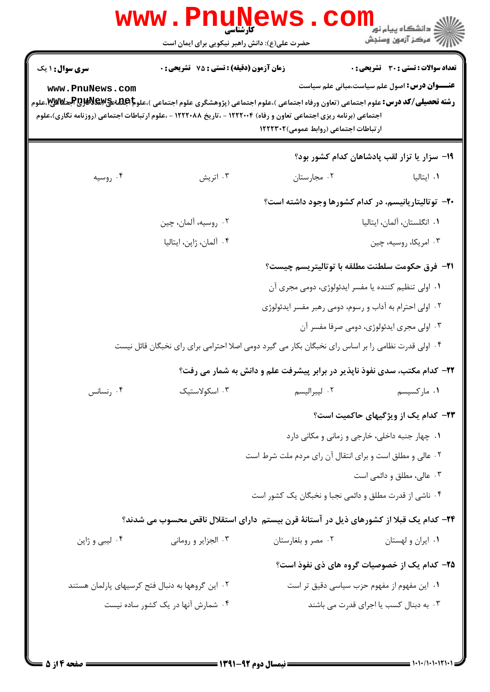|                                           | کارشناسی<br>حضرت علی(ع): دانش راهبر نیکویی برای ایمان است                                                                                                                                                                                                                                                           |                                                                           | ڪ دانشڪاه پيا <sub>م</sub> نور<br><mark>ر</mark> 7 مرڪز آزمون وسنڊش                          |
|-------------------------------------------|---------------------------------------------------------------------------------------------------------------------------------------------------------------------------------------------------------------------------------------------------------------------------------------------------------------------|---------------------------------------------------------------------------|----------------------------------------------------------------------------------------------|
|                                           |                                                                                                                                                                                                                                                                                                                     |                                                                           |                                                                                              |
| <b>سری سوال : ۱ یک</b><br>www.PnuNews.com | <b>زمان آزمون (دقیقه) : تستی : 75 تشریحی : 0</b><br><b>رشته تحصیلی/کد درس:</b> علوم اجتماعی (تعاون ورفاه اجتماعی )،علوم اجتماعی (پژوهشگری علوم اجتماعی )،علو <b>م REWEX و RBVEX و M</b> W.علوم<br>اجتماعی (برنامه ریزی اجتماعی تعاون و رفاه) ۱۲۲۲۰۰۴ - ،تاریخ ۱۲۲۲۰۸۸ - ،علوم ارتباطات اجتماعی (روزنامه نگاری)،علوم | ارتباطات اجتماعی (روابط عمومی)۱۲۲۲۳۰۲                                     | تعداد سوالات : تستي : 30 ٪ تشريحي : 0<br><b>عنـــوان درس:</b> اصول علم سیاست،مبانی علم سیاست |
|                                           |                                                                                                                                                                                                                                                                                                                     |                                                                           | ۱۹- سزار یا تزار لقب پادشاهان کدام کشور بود؟                                                 |
| ۰۴ روسیه                                  | ۰۳ اتریش                                                                                                                                                                                                                                                                                                            | ۰۲ مجارستان                                                               | ۰۱ ایتالیا                                                                                   |
|                                           |                                                                                                                                                                                                                                                                                                                     | ۲۰– توتالیتاریانیسم، در کدام کشورها وجود داشته است؟                       |                                                                                              |
|                                           | ۰۲ روسیه، آلمان، چین                                                                                                                                                                                                                                                                                                |                                                                           | ٠١ انگلستان، آلمان، ايتاليا                                                                  |
|                                           | ۰۴ آلمان، ژاپن، ایتالیا                                                                                                                                                                                                                                                                                             |                                                                           | ۰۳ امریکا، روسیه، چین                                                                        |
|                                           |                                                                                                                                                                                                                                                                                                                     | <b>۲۱</b> - فرق حکومت سلطنت مطلقه با توتالیتریسم چیست؟                    |                                                                                              |
|                                           |                                                                                                                                                                                                                                                                                                                     | ٠١ اولى تنظيم كننده يا مفسر ايدئولوژى، دومى مجرى آن                       |                                                                                              |
|                                           |                                                                                                                                                                                                                                                                                                                     | ۰۲ اولی احترام به آداب و رسوم، دومی رهبر مفسر ایدئولوژی                   |                                                                                              |
|                                           |                                                                                                                                                                                                                                                                                                                     |                                                                           | ۰۳ اولی مجری ایدئولوژی، دومی صرفا مفسر آن                                                    |
|                                           | ۰۴ اولی قدرت نظامی را بر اساس رای نخبگان بکار می گیرد دومی اصلا احترامی برای رای نخبگان قائل نیست                                                                                                                                                                                                                   |                                                                           |                                                                                              |
|                                           |                                                                                                                                                                                                                                                                                                                     | ۲۲– کدام مکتب، سدی نفوذ ناپذیر در برابر پیشرفت علم و دانش به شمار می رفت؟ |                                                                                              |
| ۰۴ رنسانس                                 | ۰۳ اسکولاستیک                                                                                                                                                                                                                                                                                                       | ٠٢ ليبراليسم                                                              | ۰۱ مارکسیسم                                                                                  |
|                                           |                                                                                                                                                                                                                                                                                                                     |                                                                           | <b>۲۳</b> - کدام یک از ویژگیهای حاکمیت است؟                                                  |
|                                           |                                                                                                                                                                                                                                                                                                                     |                                                                           | ٠١. چهار جنبه داخلي، خارجي و زماني و مكاني دارد                                              |
|                                           |                                                                                                                                                                                                                                                                                                                     | ۰۲ عالی و مطلق است و برای انتقال آن رای مردم ملت شرط است                  |                                                                                              |
|                                           |                                                                                                                                                                                                                                                                                                                     |                                                                           | ۰۳ عالی، مطلق و دائمی است                                                                    |
|                                           |                                                                                                                                                                                                                                                                                                                     | ۰۴ ناشی از قدرت مطلق و دائمی نجبا و نخبگان یک کشور است                    |                                                                                              |
|                                           | ۲۴– کدام یک قبلا از کشورهای ذیل در آستانهٔ قرن بیستم دارای استقلال ناقص محسوب می شدند؟                                                                                                                                                                                                                              |                                                                           |                                                                                              |
| ۰۴ لیبی و ژاپن                            | ۰۳ الجزایر و رومانی                                                                                                                                                                                                                                                                                                 | ۰۲ مصر و بلغارستان                                                        | ٠١ ايران و لهستان                                                                            |
|                                           |                                                                                                                                                                                                                                                                                                                     |                                                                           | ۲۵- کدام یک از خصوصیات گروه های ذی نفوذ است؟                                                 |
|                                           | ۰۲ این گروهها به دنبال فتح کرسیهای پارلمان هستند                                                                                                                                                                                                                                                                    |                                                                           | ٠١ اين مفهوم از مفهوم حزب سياسي دقيق تر است                                                  |
|                                           | ۰۴ شمارش آنها در یک کشور ساده نیست                                                                                                                                                                                                                                                                                  |                                                                           | ۰۳ به دبنال کسب یا اجرای قدرت می باشند                                                       |